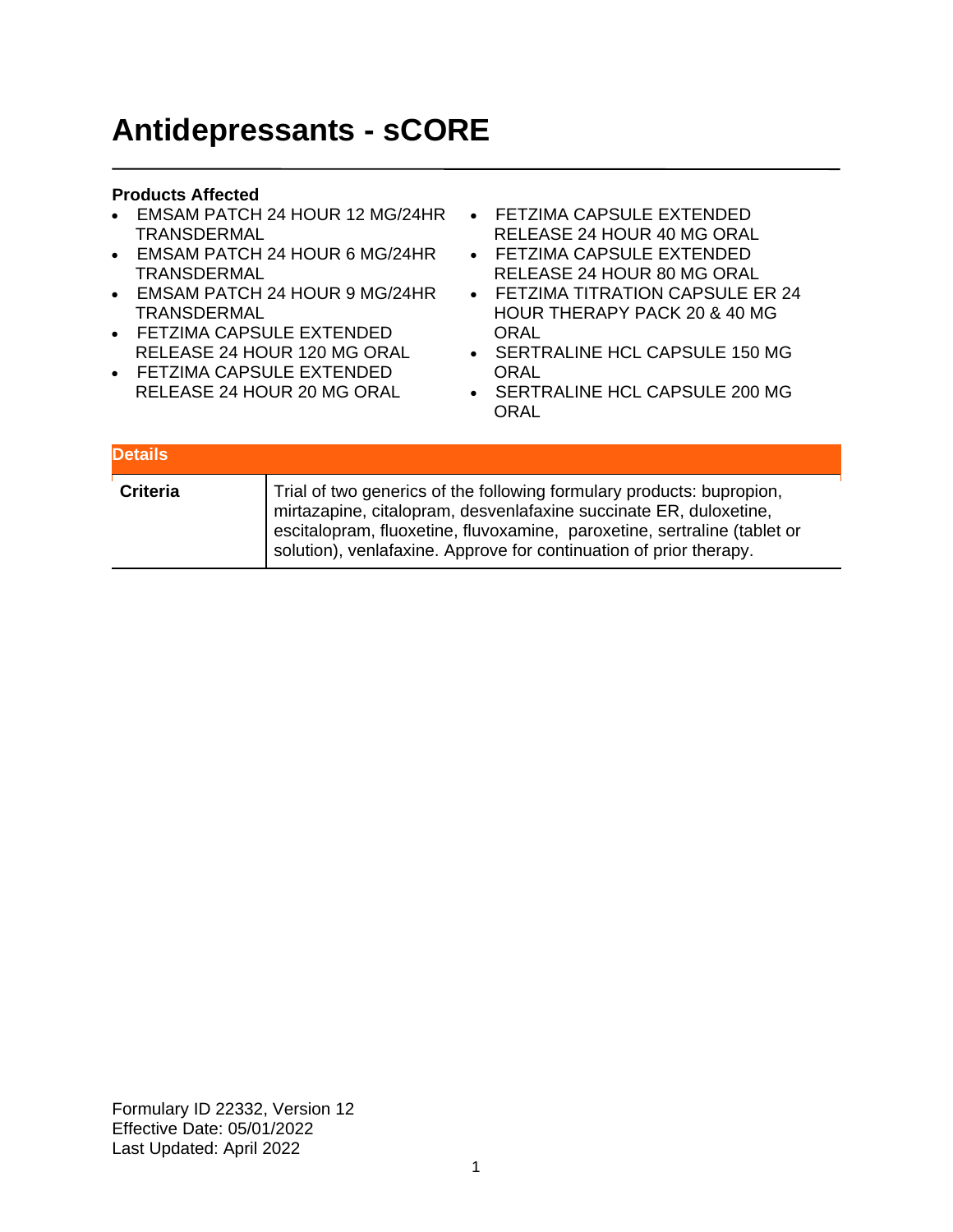# **Antidepressants - sCORE**

### **Products Affected**

- EMSAM PATCH 24 HOUR 12 MG/24HR TRANSDERMAL
- EMSAM PATCH 24 HOUR 6 MG/24HR TRANSDERMAL
- EMSAM PATCH 24 HOUR 9 MG/24HR TRANSDERMAL
- FETZIMA CAPSULE EXTENDED RELEASE 24 HOUR 120 MG ORAL
- FETZIMA CAPSULE EXTENDED RELEASE 24 HOUR 20 MG ORAL
- FETZIMA CAPSULE EXTENDED RELEASE 24 HOUR 40 MG ORAL
- FETZIMA CAPSULE EXTENDED RELEASE 24 HOUR 80 MG ORAL
- FETZIMA TITRATION CAPSULE ER 24 HOUR THERAPY PACK 20 & 40 MG **ORAL**
- SERTRALINE HCL CAPSULE 150 MG **ORAL**
- SERTRALINE HCL CAPSULE 200 MG ORAL

| <b>Details</b>  |                                                                                                                                                                                                                                                                                              |
|-----------------|----------------------------------------------------------------------------------------------------------------------------------------------------------------------------------------------------------------------------------------------------------------------------------------------|
| <b>Criteria</b> | Trial of two generics of the following formulary products: bupropion,<br>mirtazapine, citalopram, desvenlafaxine succinate ER, duloxetine,<br>escitalopram, fluoxetine, fluvoxamine, paroxetine, sertraline (tablet or<br>solution), venlafaxine. Approve for continuation of prior therapy. |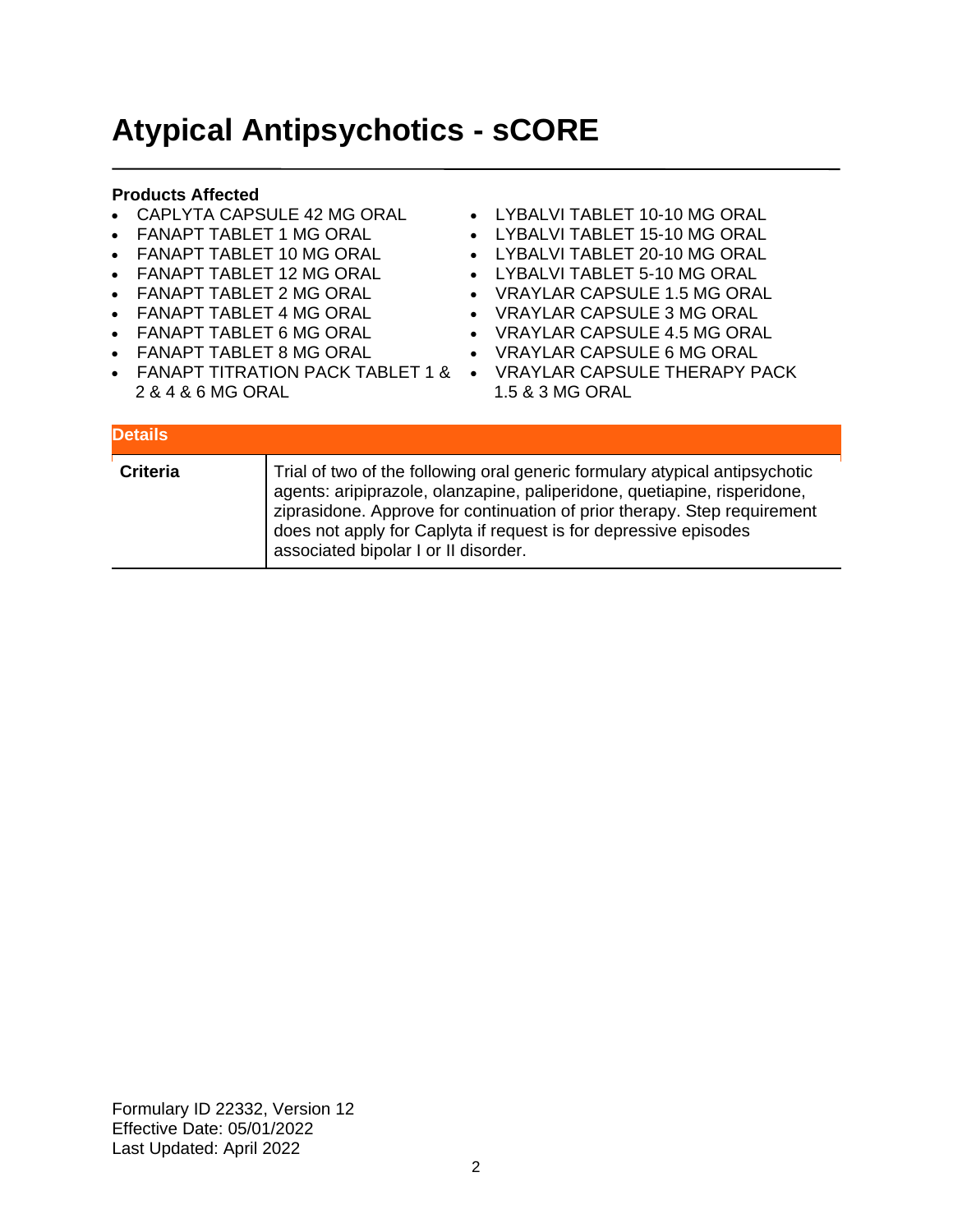## **Atypical Antipsychotics - sCORE**

### **Products Affected**

- CAPLYTA CAPSULE 42 MG ORAL
- FANAPT TABLET 1 MG ORAL
- FANAPT TABLET 10 MG ORAL
- FANAPT TABLET 12 MG ORAL
- FANAPT TABLET 2 MG ORAL
- FANAPT TABLET 4 MG ORAL
- FANAPT TABLET 6 MG ORAL
- FANAPT TABLET 8 MG ORAL
- 
- 2 & 4 & 6 MG ORAL
- LYBALVI TABLET 10-10 MG ORAL
- LYBALVI TABLET 15-10 MG ORAL
- LYBALVI TABLET 20-10 MG ORAL
- LYBALVI TABLET 5-10 MG ORAL
- VRAYLAR CAPSULE 1.5 MG ORAL
- VRAYLAR CAPSULE 3 MG ORAL
- VRAYLAR CAPSULE 4.5 MG ORAL
- VRAYLAR CAPSULE 6 MG ORAL
- FANAPT TITRATION PACK TABLET 1 & VRAYLAR CAPSULE THERAPY PACK 1.5 & 3 MG ORAL

| <b>Details</b>  |                                                                                                                                                                                                                                                                                                                                                 |
|-----------------|-------------------------------------------------------------------------------------------------------------------------------------------------------------------------------------------------------------------------------------------------------------------------------------------------------------------------------------------------|
| <b>Criteria</b> | Trial of two of the following oral generic formulary atypical antipsychotic<br>agents: aripiprazole, olanzapine, paliperidone, quetiapine, risperidone,<br>ziprasidone. Approve for continuation of prior therapy. Step requirement<br>does not apply for Caplyta if request is for depressive episodes<br>associated bipolar I or II disorder. |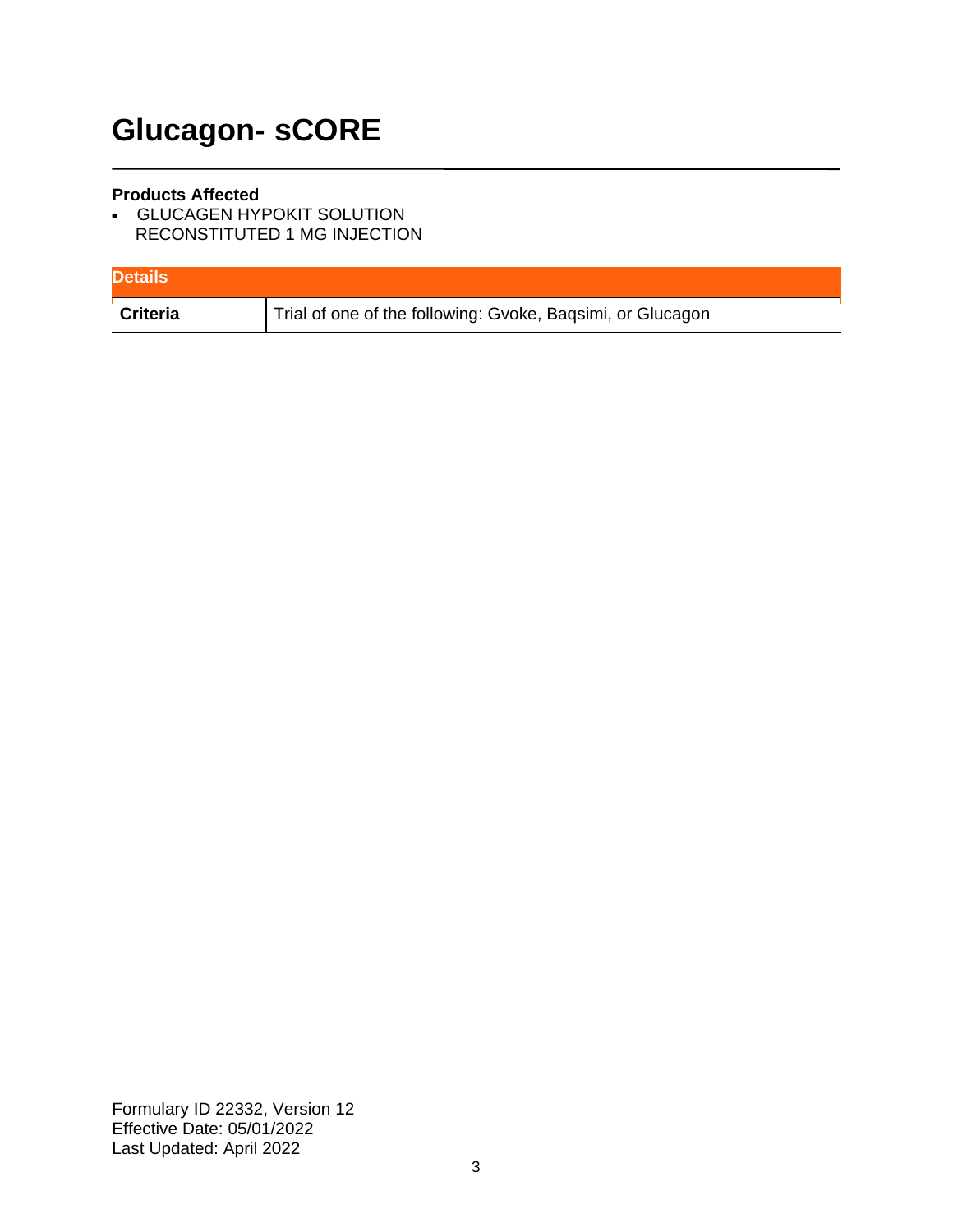# **Glucagon- sCORE**

### **Products Affected**

• GLUCAGEN HYPOKIT SOLUTION RECONSTITUTED 1 MG INJECTION

| <b>Details</b>  |                                                            |
|-----------------|------------------------------------------------------------|
| <b>Criteria</b> | Trial of one of the following: Gvoke, Baqsimi, or Glucagon |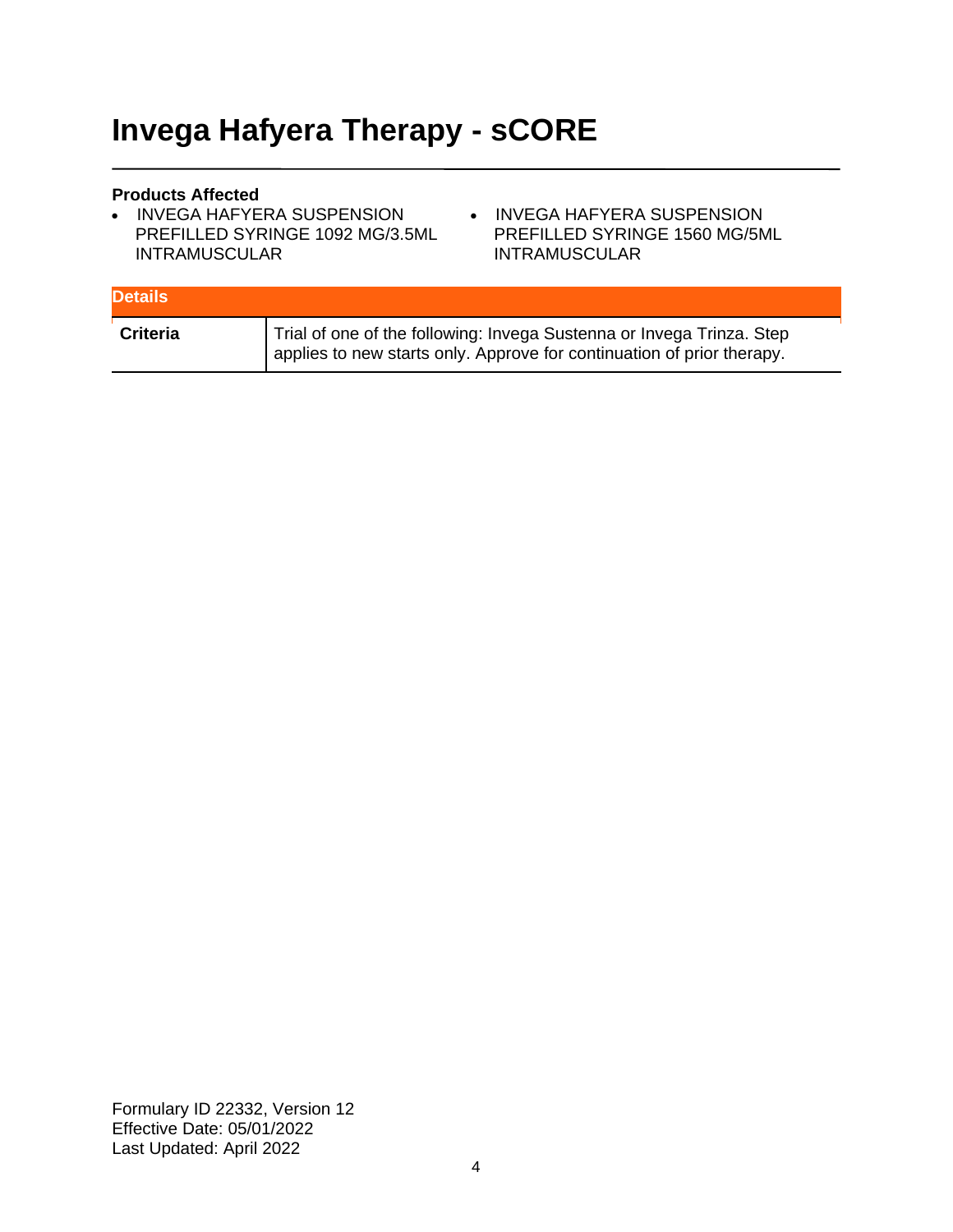## **Invega Hafyera Therapy - sCORE**

### **Products Affected**

- INVEGA HAFYERA SUSPENSION PREFILLED SYRINGE 1092 MG/3.5ML INTRAMUSCULAR
- INVEGA HAFYERA SUSPENSION PREFILLED SYRINGE 1560 MG/5ML INTRAMUSCULAR

| <b>Details</b>  |                                                                                                                                                 |
|-----------------|-------------------------------------------------------------------------------------------------------------------------------------------------|
| <b>Criteria</b> | Trial of one of the following: Invega Sustenna or Invega Trinza. Step<br>applies to new starts only. Approve for continuation of prior therapy. |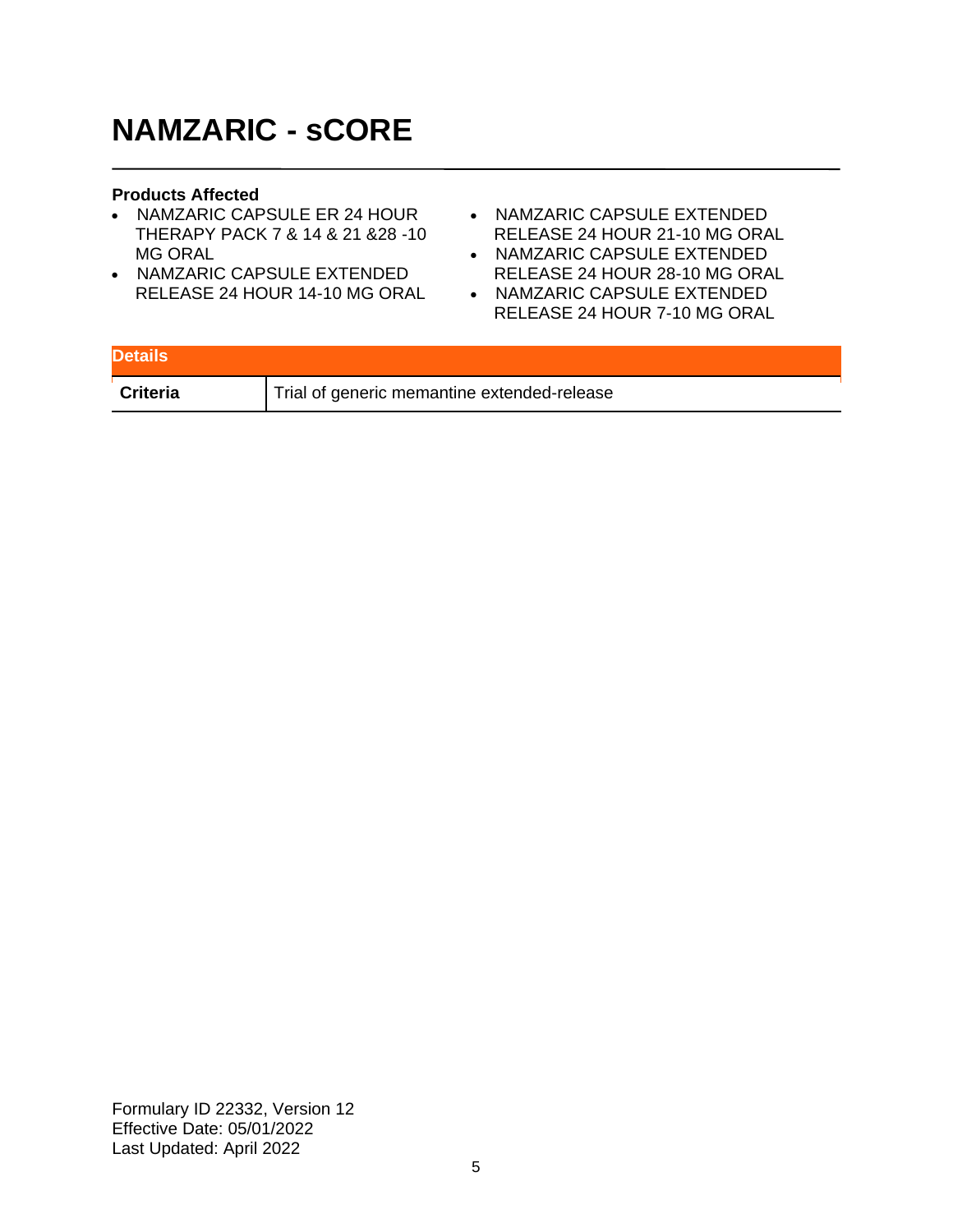## **NAMZARIC - sCORE**

#### **Products Affected**

- NAMZARIC CAPSULE ER 24 HOUR THERAPY PACK 7 & 14 & 21 &28 -10 MG ORAL
- NAMZARIC CAPSULE EXTENDED RELEASE 24 HOUR 14-10 MG ORAL
- NAMZARIC CAPSULE EXTENDED RELEASE 24 HOUR 21-10 MG ORAL
- NAMZARIC CAPSULE EXTENDED RELEASE 24 HOUR 28-10 MG ORAL
- NAMZARIC CAPSULE EXTENDED RELEASE 24 HOUR 7-10 MG ORAL

| <b>Details</b>  |                                             |
|-----------------|---------------------------------------------|
| <b>Criteria</b> | Trial of generic memantine extended-release |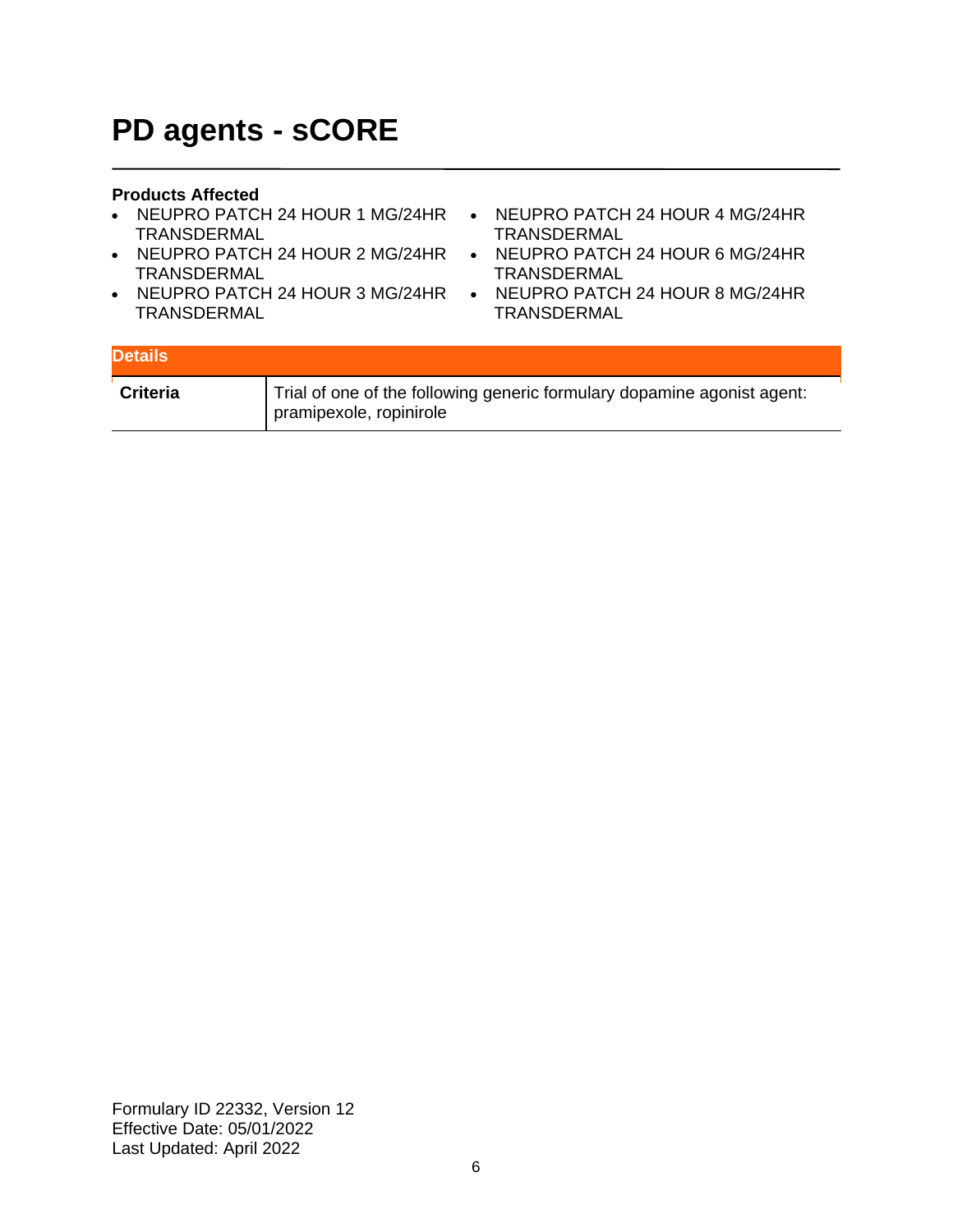## **PD agents - sCORE**

### **Products Affected**

- NEUPRO PATCH 24 HOUR 1 MG/24HR NEUPRO PATCH 24 HOUR 4 MG/24HR TRANSDERMAL
- NEUPRO PATCH 24 HOUR 2 MG/24HR NEUPRO PATCH 24 HOUR 6 MG/24HR TRANSDERMAL
- NEUPRO PATCH 24 HOUR 3 MG/24HR TRANSDERMAL
- TRANSDERMAL
- TRANSDERMAL
- NEUPRO PATCH 24 HOUR 8 MG/24HR TRANSDERMAL

| <b>Details</b>  |                                                                                                    |
|-----------------|----------------------------------------------------------------------------------------------------|
| <b>Criteria</b> | Trial of one of the following generic formulary dopamine agonist agent:<br>pramipexole, ropinirole |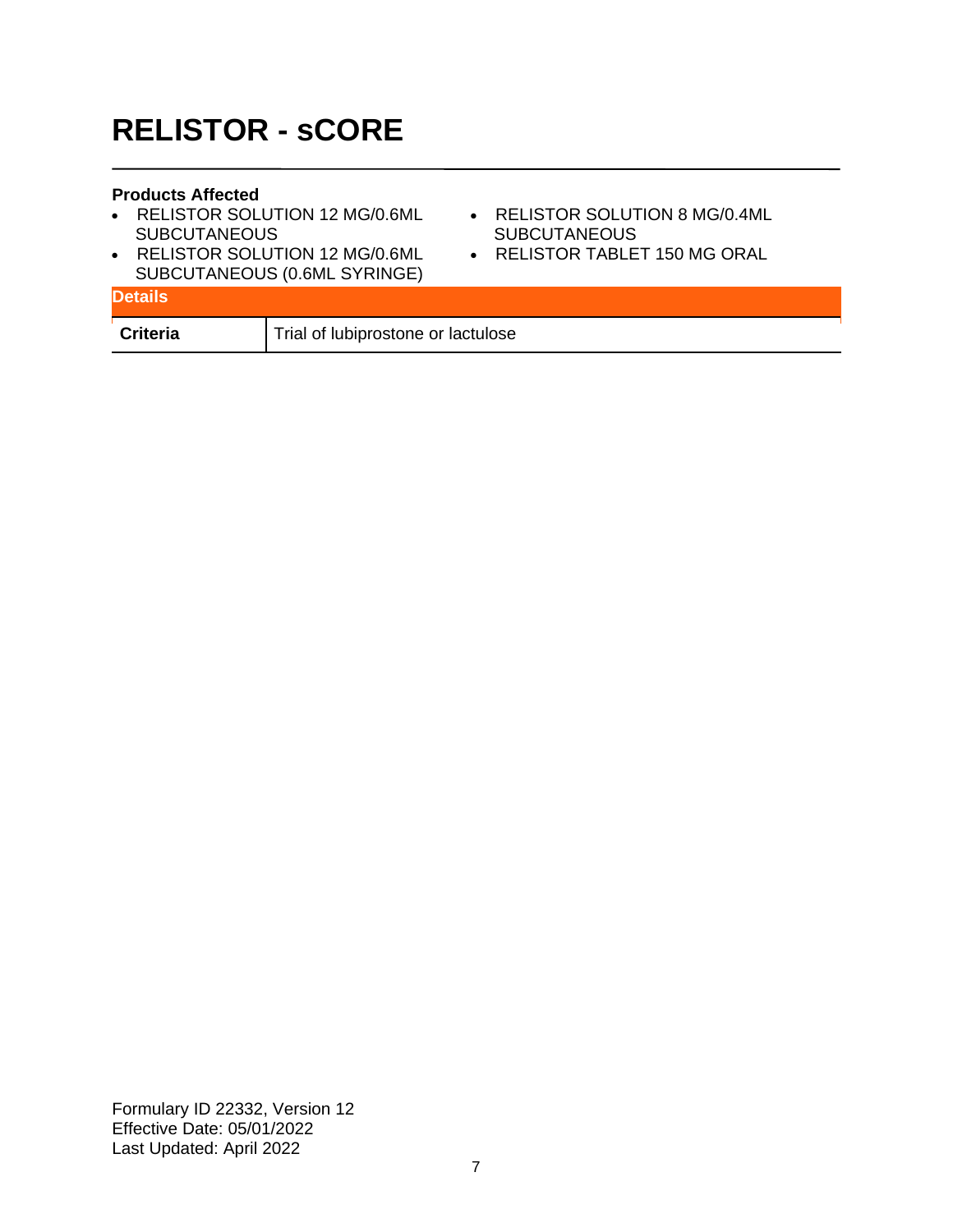## **RELISTOR - sCORE**

### **Products Affected**

- RELISTOR SOLUTION 12 MG/0.6ML **SUBCUTANEOUS**
- RELISTOR SOLUTION 12 MG/0.6ML SUBCUTANEOUS (0.6ML SYRINGE)
- RELISTOR SOLUTION 8 MG/0.4ML **SUBCUTANEOUS**
- RELISTOR TABLET 150 MG ORAL

| <b>Details</b>  | <b>SUBCUTANLOUS (U.0ML STRINGL)</b> |
|-----------------|-------------------------------------|
| <b>Criteria</b> | Trial of lubiprostone or lactulose  |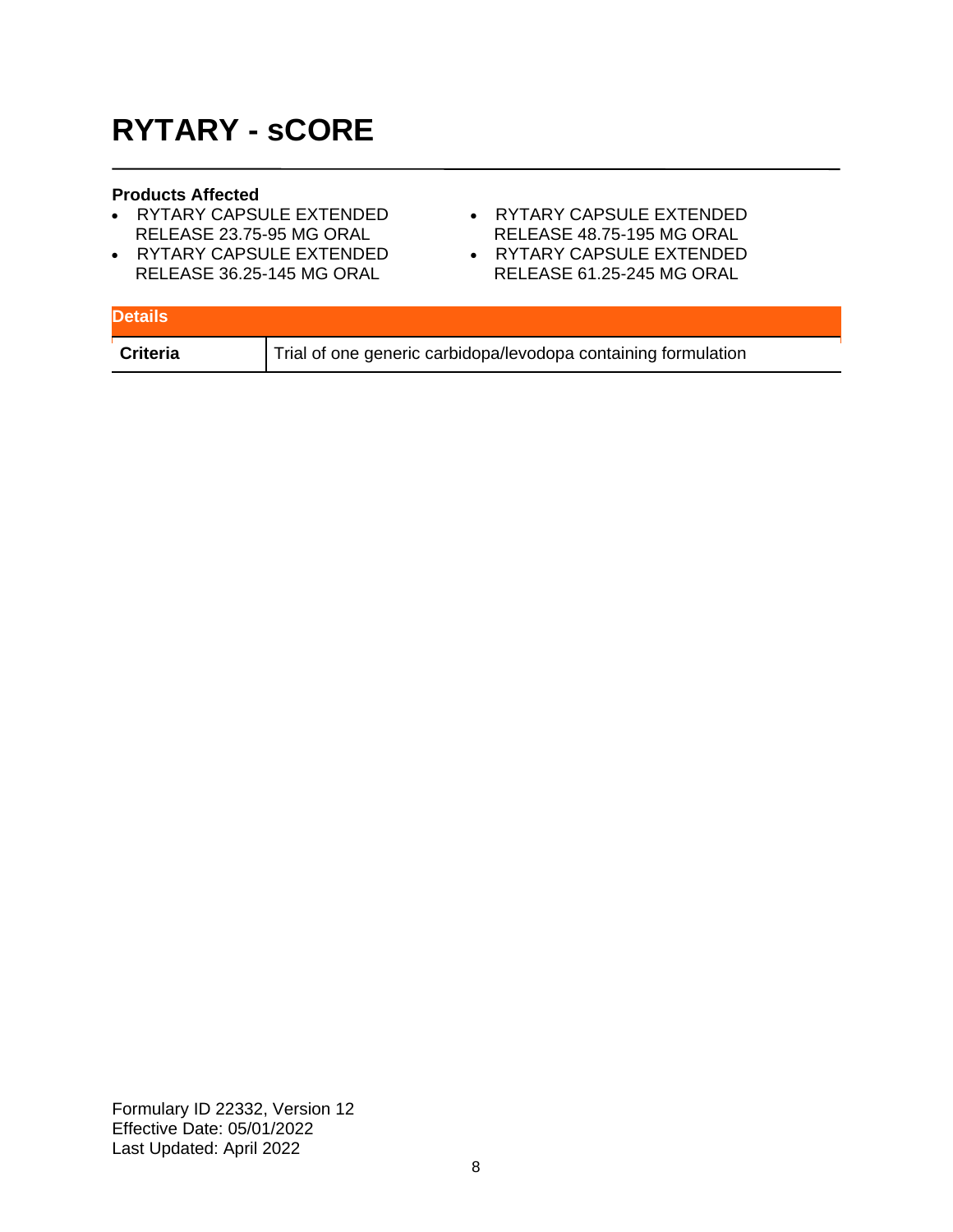# **RYTARY - sCORE**

#### **Products Affected**

- RYTARY CAPSULE EXTENDED RELEASE 23.75-95 MG ORAL
- RYTARY CAPSULE EXTENDED RELEASE 36.25-145 MG ORAL
- RYTARY CAPSULE EXTENDED RELEASE 48.75-195 MG ORAL
- RYTARY CAPSULE EXTENDED RELEASE 61.25-245 MG ORAL

| <b>Details</b> |                                                                |
|----------------|----------------------------------------------------------------|
| Criteria       | Trial of one generic carbidopa/levodopa containing formulation |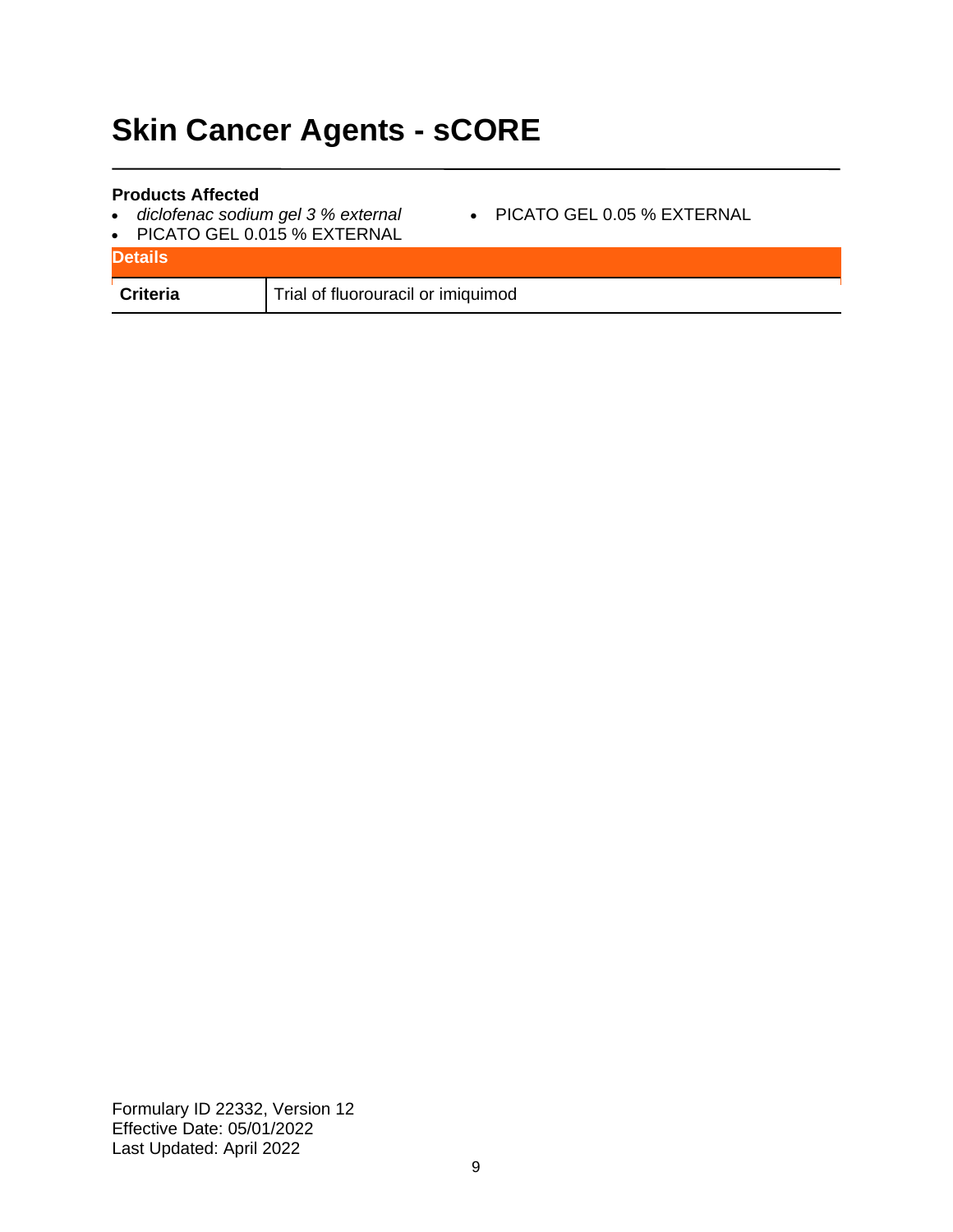# **Skin Cancer Agents - sCORE**

#### **Products Affected**

- *diclofenac sodium gel 3 % external*
- PICATO GEL 0.05 % EXTERNAL
- PICATO GEL 0.015 % EXTERNAL

| <b>Details</b>  |                                    |
|-----------------|------------------------------------|
| <b>Criteria</b> | Trial of fluorouracil or imiquimod |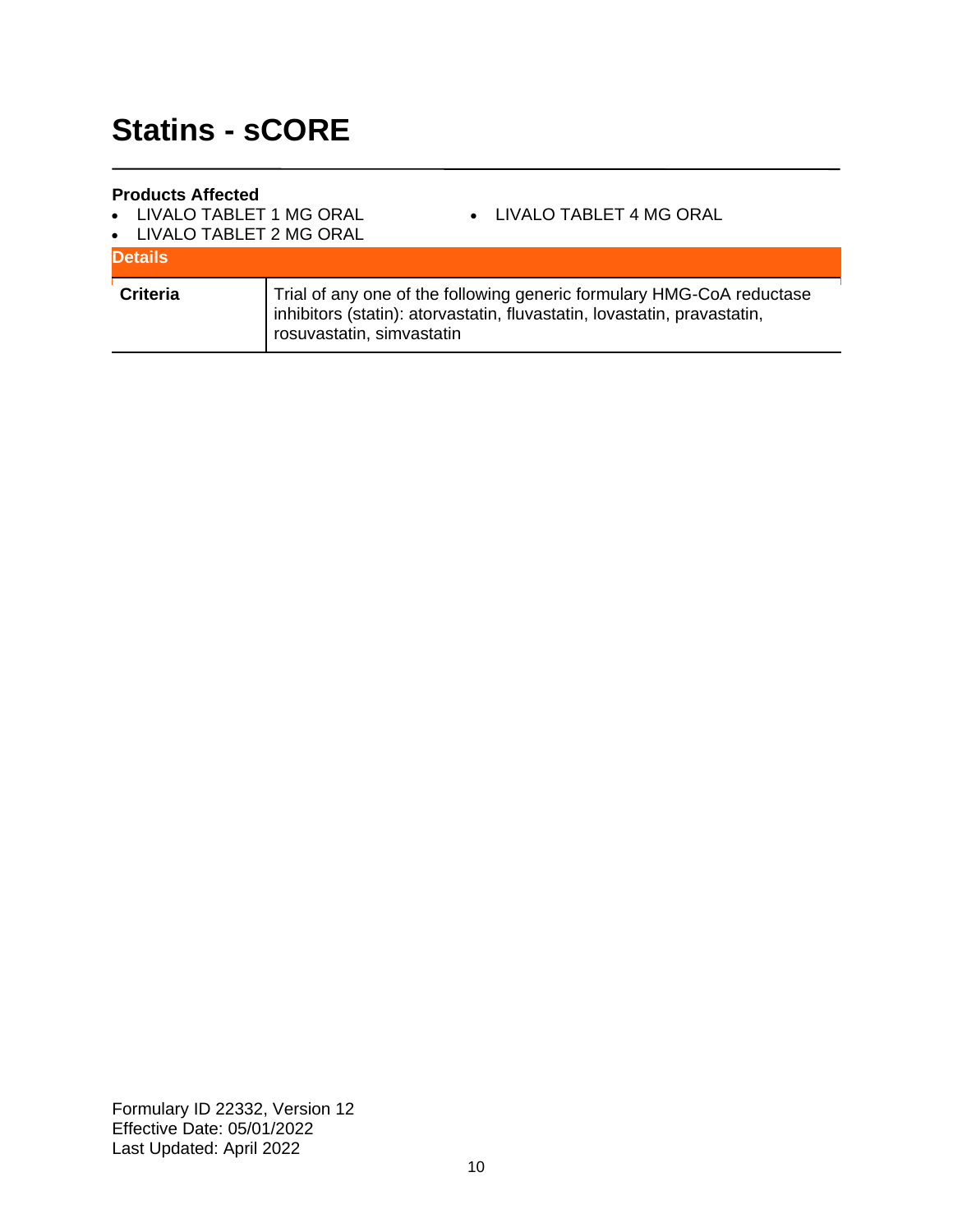#### **Products Affected**

• LIVALO TABLET 1 MG ORAL

• LIVALO TABLET 4 MG ORAL

• LIVALO TABLET 2 MG ORAL

| <b>Details</b>  |                                                                                                                                                                                |
|-----------------|--------------------------------------------------------------------------------------------------------------------------------------------------------------------------------|
| <b>Criteria</b> | Trial of any one of the following generic formulary HMG-CoA reductase<br>inhibitors (statin): atorvastatin, fluvastatin, lovastatin, pravastatin,<br>rosuvastatin, simvastatin |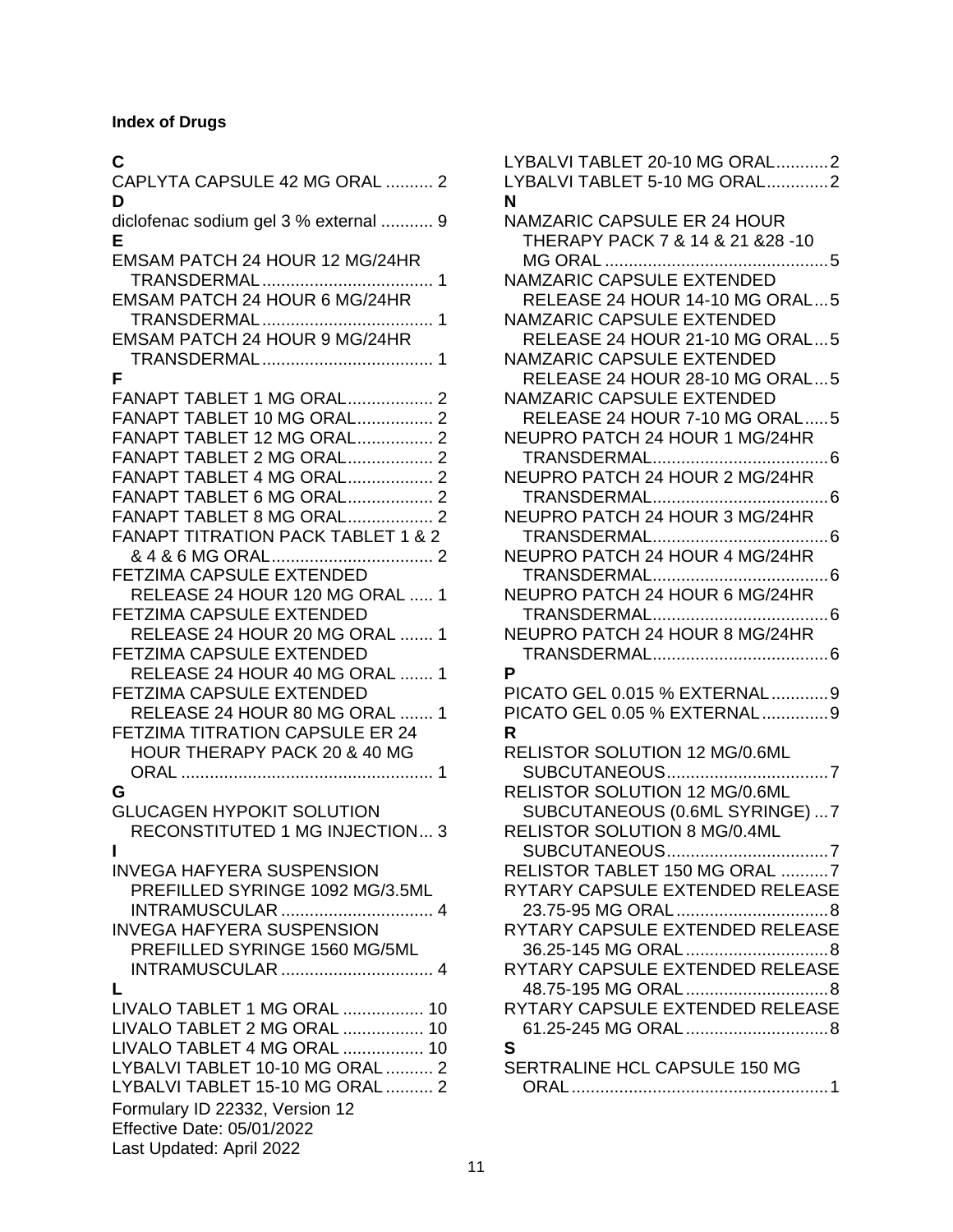### **Index of Drugs**

### **C**

| CAPLYTA CAPSULE 42 MG ORAL  2<br>D            |
|-----------------------------------------------|
| diclofenac sodium gel 3 % external  9<br>Е    |
| EMSAM PATCH 24 HOUR 12 MG/24HR                |
|                                               |
| EMSAM PATCH 24 HOUR 6 MG/24HR                 |
|                                               |
| EMSAM PATCH 24 HOUR 9 MG/24HR                 |
| F                                             |
|                                               |
| FANAPT TABLET 1 MG ORAL 2                     |
| FANAPT TABLET 10 MG ORAL 2                    |
| FANAPT TABLET 12 MG ORAL 2                    |
|                                               |
| FANAPT TABLET 2 MG ORAL 2                     |
| <b>FANAPT TABLET 4 MG ORAL 2</b>              |
| FANAPT TABLET 6 MG ORAL 2                     |
|                                               |
| <b>FANAPT TABLET 8 MG ORAL 2</b>              |
| <b>FANAPT TITRATION PACK TABLET 1 &amp; 2</b> |
|                                               |
|                                               |
| FETZIMA CAPSULE EXTENDED                      |
| RELEASE 24 HOUR 120 MG ORAL  1                |
|                                               |
| <b>FETZIMA CAPSULE EXTENDED</b>               |
| RELEASE 24 HOUR 20 MG ORAL  1                 |
| <b>FETZIMA CAPSULE EXTENDED</b>               |
|                                               |
| RELEASE 24 HOUR 40 MG ORAL  1                 |
| <b>FETZIMA CAPSULE EXTENDED</b>               |
|                                               |
| RELEASE 24 HOUR 80 MG ORAL<br>1               |
| <b>FETZIMA TITRATION CAPSULE ER 24</b>        |
| HOUR THERAPY PACK 20 & 40 MG                  |
|                                               |
|                                               |
| G                                             |
| <b>GLUCAGEN HYPOKIT SOLUTION</b>              |
|                                               |
| <b>RECONSTITUTED 1 MG INJECTION 3</b>         |
| ı                                             |
| <b>INVEGA HAFYERA SUSPENSION</b>              |
|                                               |
| PREFILLED SYRINGE 1092 MG/3.5ML               |
| <b>INTRAMUSCULAR</b> 4                        |
| <b>INVEGA HAFYERA SUSPENSION</b>              |
|                                               |
| PREFILLED SYRINGE 1560 MG/5ML                 |
| <b>INTRAMUSCULAR</b> 4                        |
|                                               |
| L                                             |
| LIVALO TABLET 1 MG ORAL  10                   |
| LIVALO TABLET 2 MG ORAL  10                   |
|                                               |
| LIVALO TABLET 4 MG ORAL  10                   |
| LYBALVI TABLET 10-10 MG ORAL  2               |
| LYBALVI TABLET 15-10 MG ORAL  2               |
|                                               |
| Formulary ID 22332, Version 12                |
| <b>Effective Date: 05/01/2022</b>             |
|                                               |
| Last Updated: April 2022                      |

| LYBALVI TABLET 20-10 MG ORAL2        |
|--------------------------------------|
| LYBALVI TABLET 5-10 MG ORAL2         |
| N                                    |
| <b>NAMZARIC CAPSULE ER 24 HOUR</b>   |
| THERAPY PACK 7 & 14 & 21 & 28 - 10   |
|                                      |
| <b>NAMZARIC CAPSULE EXTENDED</b>     |
| RELEASE 24 HOUR 14-10 MG ORAL5       |
| NAMZARIC CAPSULE EXTENDED            |
| RELEASE 24 HOUR 21-10 MG ORAL5       |
| <b>NAMZARIC CAPSULE EXTENDED</b>     |
| RELEASE 24 HOUR 28-10 MG ORAL5       |
| NAMZARIC CAPSULE EXTENDED            |
| RELEASE 24 HOUR 7-10 MG ORAL5        |
| NEUPRO PATCH 24 HOUR 1 MG/24HR       |
|                                      |
| NEUPRO PATCH 24 HOUR 2 MG/24HR       |
|                                      |
| NEUPRO PATCH 24 HOUR 3 MG/24HR       |
|                                      |
| NEUPRO PATCH 24 HOUR 4 MG/24HR       |
|                                      |
| NEUPRO PATCH 24 HOUR 6 MG/24HR       |
|                                      |
| NEUPRO PATCH 24 HOUR 8 MG/24HR       |
|                                      |
| Р                                    |
| PICATO GEL 0.015 % EXTERNAL9         |
| PICATO GEL 0.05 % EXTERNAL9          |
| R                                    |
| RELISTOR SOLUTION 12 MG/0.6ML        |
|                                      |
| <b>RELISTOR SOLUTION 12 MG/0.6ML</b> |
| SUBCUTANEOUS (0.6ML SYRINGE)  7      |
| RELISTOR SOLUTION 8 MG/0.4ML         |
| SUBCUTANEOUS7                        |
| RELISTOR TABLET 150 MG ORAL 7        |
| RYTARY CAPSULE EXTENDED RELEASE      |
|                                      |
| RYTARY CAPSULE EXTENDED RELEASE      |
|                                      |
|                                      |
| RYTARY CAPSULE EXTENDED RELEASE      |
|                                      |
| RYTARY CAPSULE EXTENDED RELEASE      |
|                                      |
| S                                    |
| SERTRALINE HCL CAPSULE 150 MG        |